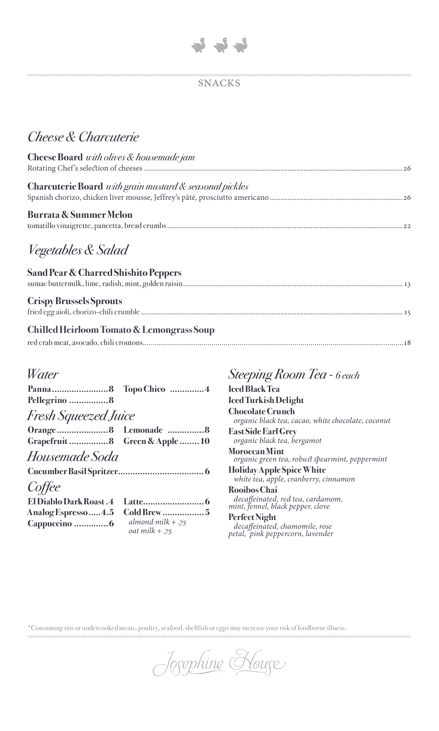

### **SNACKS**

# Cheese & Charcuterie

| Cheese Board with olives & housemade jam                       |
|----------------------------------------------------------------|
|                                                                |
| <b>Charcuterie Board</b> with grain mustard & seasonal pickles |
|                                                                |
| Burrata & Summer Melon                                         |
|                                                                |
|                                                                |
| <i>Vegetables &amp; Salad</i>                                  |

| <b>Sand Pear &amp; Charred Shishito Peppers</b> |  |
|-------------------------------------------------|--|
| <b>Crispy Brussels Sprouts</b>                  |  |
| Chilled Heirloom Tomato & Lemongrass Soup       |  |
|                                                 |  |

## Water

| Pellegrino 8                   |                                         |
|--------------------------------|-----------------------------------------|
| Fresh Squeezed Juice           |                                         |
|                                |                                         |
| Grapefruit 8 Green & Apple  10 |                                         |
| Housemade Soda                 |                                         |
|                                |                                         |
| Coffee                         |                                         |
| <b>El Diablo Dark Roast.4</b>  |                                         |
| Analog Espresso 4.5            | Cold Brew 5                             |
|                                | almond milk $+ .75$<br>oat milk $+ .75$ |

## Steeping Room Tea - 6 each

**Iced Black Tea Iced Turkish Delight Chocolate Crunch** organic black tea, cacao, white chocolate, coconut **East Side Earl Grey** organic black tea, bergamot **Moroccan Mint** organic green tea, robust spearmint, peppermint **Holiday Apple Spice White** white tea, apple, cranberry, cinnamon Rooibos Chai

decaffeinated, red tea, cardamom,<br>mint, fennel, black pepper, clove

Perfect Night decaffeinated, chamomile, rose<br>petal, pink peppercorn, lavender

\*Consuming raw or undercooked meats, poultry, seafood, shellfish or eggs may increase your risk of foodborne illness.

Jorephine Koure